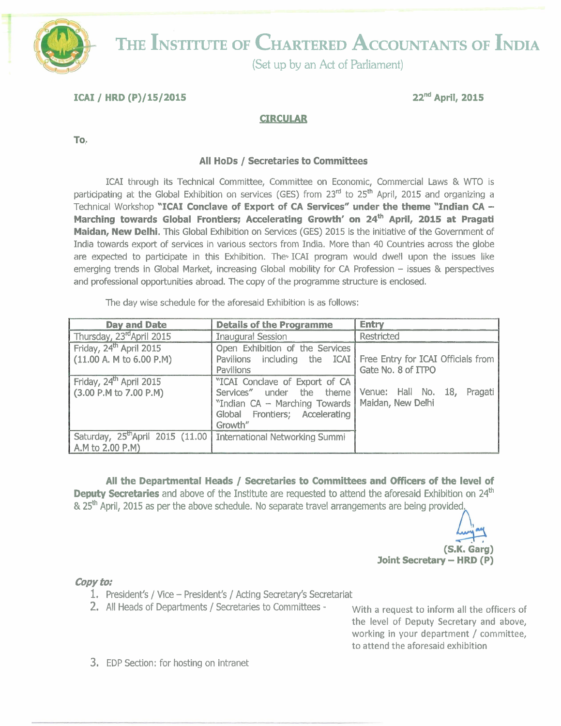

# THE **INSTITUTE OF CHARTERED ACCOUNTANTS OF INDIA**

(Set up by an Act of Parliament)

**ICAI** / **HRD** (P)/15/2015 22nd **April,** 2015

## **CIRCULAR**

**To,** 

### **All HODS** / **Secretaries to Committees**

ICAI through its Technical Committee, Committee on Economic, Commercial Laws & WTO is participating at the Global Exhibition on services (GES) from 23<sup>rd</sup> to 25<sup>th</sup> April, 2015 and organizing a Technical Workshop **"ICAI Conclave of Export of CA Services" under the theme "Indian CA** - Marching towards Global Frontiers; Accelerating Growth' on 24<sup>th</sup> April, 2015 at Pragati **Maidan, New Delhi.** This Global Exhibition on Services (GES) 2015 is the initiative of the Government of India towards export of services in various sectors from India. More than 40 Countries across the globe are expected to participate in this Exhibition. The ICAI program would dwell upon the issues like emerging trends in Global Market, increasing Global mobility for CA Profession - issues & perspectives and professional opportunities abroad. The copy of the programme structure is enclosed.

The day wise schedule for the aforesaid Exhibition is as follows:

| <b>Day and Date</b>                                                                             | <b>Details of the Programme</b>                                                                                                                               | <b>Entry</b>                                                                          |
|-------------------------------------------------------------------------------------------------|---------------------------------------------------------------------------------------------------------------------------------------------------------------|---------------------------------------------------------------------------------------|
| Thursday, 23 <sup>rd</sup> April 2015                                                           | <b>Inaugural Session</b>                                                                                                                                      | Restricted                                                                            |
| Friday, 24 <sup>th</sup> April 2015<br>(11.00 A. M to 6.00 P.M)                                 | Open Exhibition of the Services<br><b>Pavilions</b>                                                                                                           | Pavilions including the ICAI Free Entry for ICAI Officials from<br>Gate No. 8 of ITPO |
| Friday, 24 <sup>th</sup> April 2015<br>(3.00 P.M to 7.00 P.M)                                   | "ICAI Conclave of Export of CA<br>Services" under the theme Venue: Hall No. 18,<br>"Indian CA - Marching Towards<br>Global Frontiers; Accelerating<br>Growth" | Pragati<br>Maidan, New Delhi                                                          |
| Saturday, 25 <sup>th</sup> April 2015 (11.00 International Networking Summi<br>A.M to 2.00 P.M) |                                                                                                                                                               |                                                                                       |

**All the Departmental Heads** / **Secretaries to Committees and Officers of the level of Deputy Secretaries** and above of the Institute are requested to attend the aforesaid Exhibition on 24<sup>th</sup> & 25<sup>th</sup> April, 2015 as per the above schedule. No separate travel arrangements are being provided.

> **(s.K. Carg) Joint Secretary - HRD (P)**

#### **copy to:**

- 1. President's / Vice President's / Acting Secretary's Secretariat
- 2. All Heads of Departments / Secretaries to Committees With a request to inform all the officers of

the level of Deputy Secretary and above, working in your department / committee, to attend the aforesaid exhibition

**3.** EDP Section: for hosting on intranet